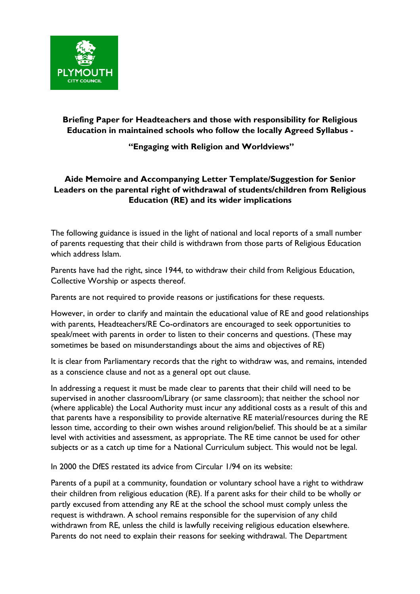

**Briefing Paper for Headteachers and those with responsibility for Religious Education in maintained schools who follow the locally Agreed Syllabus -** 

## **"Engaging with Religion and Worldviews"**

## **Aide Memoire and Accompanying Letter Template/Suggestion for Senior Leaders on the parental right of withdrawal of students/children from Religious Education (RE) and its wider implications**

The following guidance is issued in the light of national and local reports of a small number of parents requesting that their child is withdrawn from those parts of Religious Education which address Islam.

Parents have had the right, since 1944, to withdraw their child from Religious Education, Collective Worship or aspects thereof.

Parents are not required to provide reasons or justifications for these requests.

However, in order to clarify and maintain the educational value of RE and good relationships with parents, Headteachers/RE Co-ordinators are encouraged to seek opportunities to speak/meet with parents in order to listen to their concerns and questions. (These may sometimes be based on misunderstandings about the aims and objectives of RE)

It is clear from Parliamentary records that the right to withdraw was, and remains, intended as a conscience clause and not as a general opt out clause.

In addressing a request it must be made clear to parents that their child will need to be supervised in another classroom/Library (or same classroom); that neither the school nor (where applicable) the Local Authority must incur any additional costs as a result of this and that parents have a responsibility to provide alternative RE material/resources during the RE lesson time, according to their own wishes around religion/belief. This should be at a similar level with activities and assessment, as appropriate. The RE time cannot be used for other subjects or as a catch up time for a National Curriculum subject. This would not be legal.

In 2000 the DfES restated its advice from Circular 1/94 on its website:

Parents of a pupil at a community, foundation or voluntary school have a right to withdraw their children from religious education (RE). If a parent asks for their child to be wholly or partly excused from attending any RE at the school the school must comply unless the request is withdrawn. A school remains responsible for the supervision of any child withdrawn from RE, unless the child is lawfully receiving religious education elsewhere. Parents do not need to explain their reasons for seeking withdrawal. The Department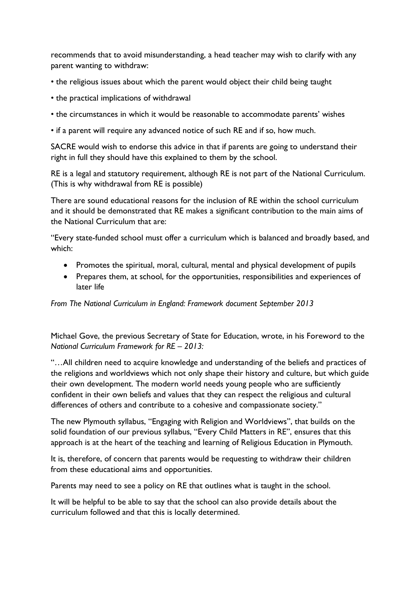recommends that to avoid misunderstanding, a head teacher may wish to clarify with any parent wanting to withdraw:

- the religious issues about which the parent would object their child being taught
- the practical implications of withdrawal
- the circumstances in which it would be reasonable to accommodate parents' wishes
- if a parent will require any advanced notice of such RE and if so, how much.

SACRE would wish to endorse this advice in that if parents are going to understand their right in full they should have this explained to them by the school.

RE is a legal and statutory requirement, although RE is not part of the National Curriculum. (This is why withdrawal from RE is possible)

There are sound educational reasons for the inclusion of RE within the school curriculum and it should be demonstrated that RE makes a significant contribution to the main aims of the National Curriculum that are:

"Every state-funded school must offer a curriculum which is balanced and broadly based, and which:

- Promotes the spiritual, moral, cultural, mental and physical development of pupils
- Prepares them, at school, for the opportunities, responsibilities and experiences of later life

*From The National Curriculum in England: Framework document September 2013* 

Michael Gove, the previous Secretary of State for Education, wrote, in his Foreword to the *National Curriculum Framework for RE – 2013:* 

"…All children need to acquire knowledge and understanding of the beliefs and practices of the religions and worldviews which not only shape their history and culture, but which guide their own development. The modern world needs young people who are sufficiently confident in their own beliefs and values that they can respect the religious and cultural differences of others and contribute to a cohesive and compassionate society."

The new Plymouth syllabus, "Engaging with Religion and Worldviews", that builds on the solid foundation of our previous syllabus, "Every Child Matters in RE", ensures that this approach is at the heart of the teaching and learning of Religious Education in Plymouth.

It is, therefore, of concern that parents would be requesting to withdraw their children from these educational aims and opportunities.

Parents may need to see a policy on RE that outlines what is taught in the school.

It will be helpful to be able to say that the school can also provide details about the curriculum followed and that this is locally determined.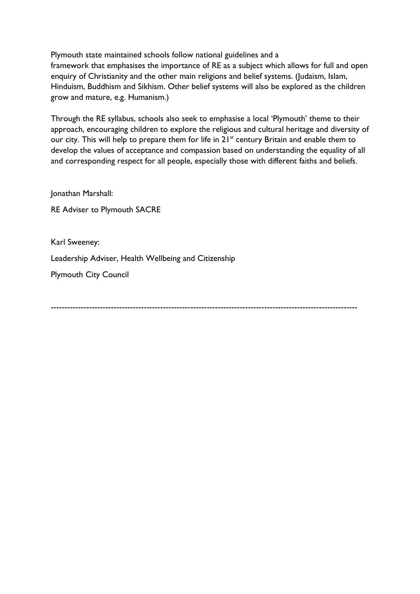Plymouth state maintained schools follow national guidelines and a framework that emphasises the importance of RE as a subject which allows for full and open enquiry of Christianity and the other main religions and belief systems. (Judaism, Islam, Hinduism, Buddhism and Sikhism. Other belief systems will also be explored as the children grow and mature, e.g. Humanism.)

Through the RE syllabus, schools also seek to emphasise a local 'Plymouth' theme to their approach, encouraging children to explore the religious and cultural heritage and diversity of our city. This will help to prepare them for life in 21<sup>st</sup> century Britain and enable them to develop the values of acceptance and compassion based on understanding the equality of all and corresponding respect for all people, especially those with different faiths and beliefs.

Jonathan Marshall:

RE Adviser to Plymouth SACRE

Karl Sweeney: Leadership Adviser, Health Wellbeing and Citizenship Plymouth City Council

----------------------------------------------------------------------------------------------------------------